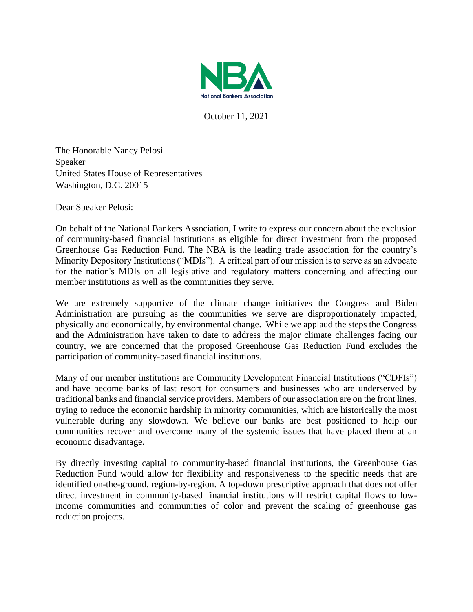

October 11, 2021

The Honorable Nancy Pelosi Speaker United States House of Representatives Washington, D.C. 20015

Dear Speaker Pelosi:

On behalf of the National Bankers Association, I write to express our concern about the exclusion of community-based financial institutions as eligible for direct investment from the proposed Greenhouse Gas Reduction Fund. The NBA is the leading trade association for the country's Minority Depository Institutions ("MDIs"). A critical part of our mission is to serve as an advocate for the nation's MDIs on all legislative and regulatory matters concerning and affecting our member institutions as well as the communities they serve.

We are extremely supportive of the climate change initiatives the Congress and Biden Administration are pursuing as the communities we serve are disproportionately impacted, physically and economically, by environmental change. While we applaud the steps the Congress and the Administration have taken to date to address the major climate challenges facing our country, we are concerned that the proposed Greenhouse Gas Reduction Fund excludes the participation of community-based financial institutions.

Many of our member institutions are Community Development Financial Institutions ("CDFIs") and have become banks of last resort for consumers and businesses who are underserved by traditional banks and financial service providers. Members of our association are on the front lines, trying to reduce the economic hardship in minority communities, which are historically the most vulnerable during any slowdown. We believe our banks are best positioned to help our communities recover and overcome many of the systemic issues that have placed them at an economic disadvantage.

By directly investing capital to community-based financial institutions, the Greenhouse Gas Reduction Fund would allow for flexibility and responsiveness to the specific needs that are identified on-the-ground, region-by-region. A top-down prescriptive approach that does not offer direct investment in community-based financial institutions will restrict capital flows to lowincome communities and communities of color and prevent the scaling of greenhouse gas reduction projects.